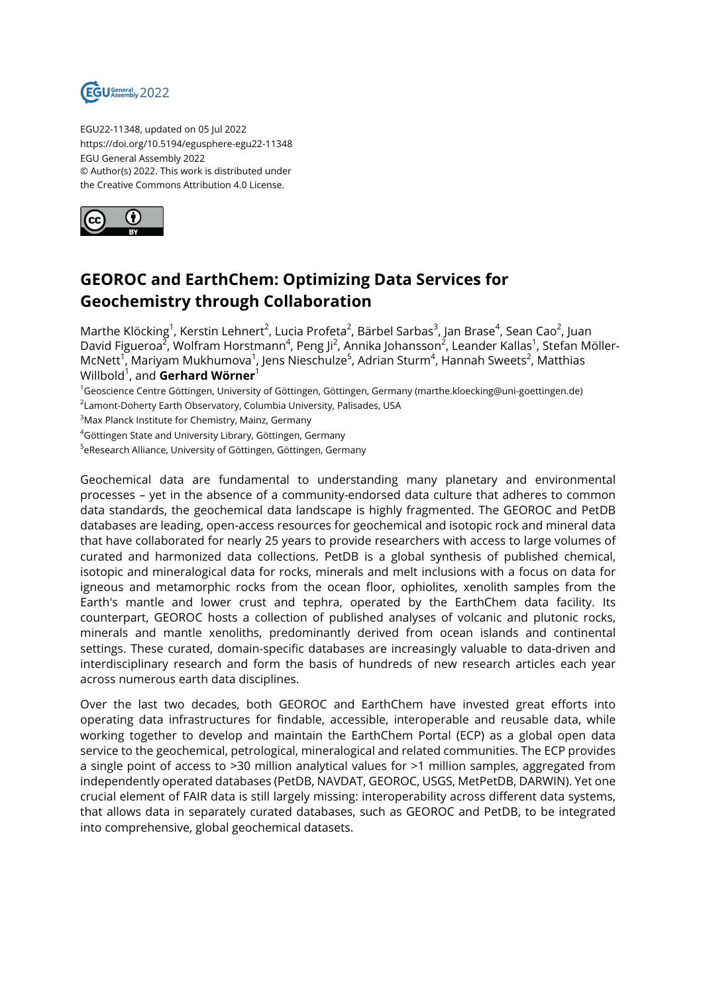

EGU22-11348, updated on 05 Jul 2022 https://doi.org/10.5194/egusphere-egu22-11348 EGU General Assembly 2022 © Author(s) 2022. This work is distributed under the Creative Commons Attribution 4.0 License.



## **GEOROC and EarthChem: Optimizing Data Services for Geochemistry through Collaboration**

Marthe Klöcking<sup>1</sup>, Kerstin Lehnert<sup>2</sup>, Lucia Profeta<sup>2</sup>, Bärbel Sarbas<sup>3</sup>, Jan Brase<sup>4</sup>, Sean Cao<sup>2</sup>, Juan David Figueroa<sup>2</sup>, Wolfram Horstmann<sup>4</sup>, Peng Ji<sup>2</sup>, Annika Johansson<sup>2</sup>, Leander Kallas<sup>1</sup>, Stefan Möller-McNett<sup>1</sup>, Mariyam Mukhumova<sup>1</sup>, Jens Nieschulze<sup>5</sup>, Adrian Sturm<sup>4</sup>, Hannah Sweets<sup>2</sup>, Matthias Willbold<sup>1</sup> , and **Gerhard Wörner**<sup>1</sup>

<sup>1</sup>Geoscience Centre Göttingen, University of Göttingen, Göttingen, Germany (marthe.kloecking@uni-goettingen.de)  $^{\rm 2}$ Lamont-Doherty Earth Observatory, Columbia University, Palisades, USA

<sup>3</sup>Max Planck Institute for Chemistry, Mainz, Germany

<sup>4</sup>Göttingen State and University Library, Göttingen, Germany

<sup>5</sup>eResearch Alliance, University of Göttingen, Göttingen, Germany

Geochemical data are fundamental to understanding many planetary and environmental processes – yet in the absence of a community-endorsed data culture that adheres to common data standards, the geochemical data landscape is highly fragmented. The GEOROC and PetDB databases are leading, open-access resources for geochemical and isotopic rock and mineral data that have collaborated for nearly 25 years to provide researchers with access to large volumes of curated and harmonized data collections. PetDB is a global synthesis of published chemical, isotopic and mineralogical data for rocks, minerals and melt inclusions with a focus on data for igneous and metamorphic rocks from the ocean floor, ophiolites, xenolith samples from the Earth's mantle and lower crust and tephra, operated by the EarthChem data facility. Its counterpart, GEOROC hosts a collection of published analyses of volcanic and plutonic rocks, minerals and mantle xenoliths, predominantly derived from ocean islands and continental settings. These curated, domain-specific databases are increasingly valuable to data-driven and interdisciplinary research and form the basis of hundreds of new research articles each year across numerous earth data disciplines.

Over the last two decades, both GEOROC and EarthChem have invested great efforts into operating data infrastructures for findable, accessible, interoperable and reusable data, while working together to develop and maintain the EarthChem Portal (ECP) as a global open data service to the geochemical, petrological, mineralogical and related communities. The ECP provides a single point of access to >30 million analytical values for >1 million samples, aggregated from independently operated databases (PetDB, NAVDAT, GEOROC, USGS, MetPetDB, DARWIN). Yet one crucial element of FAIR data is still largely missing: interoperability across different data systems, that allows data in separately curated databases, such as GEOROC and PetDB, to be integrated into comprehensive, global geochemical datasets.